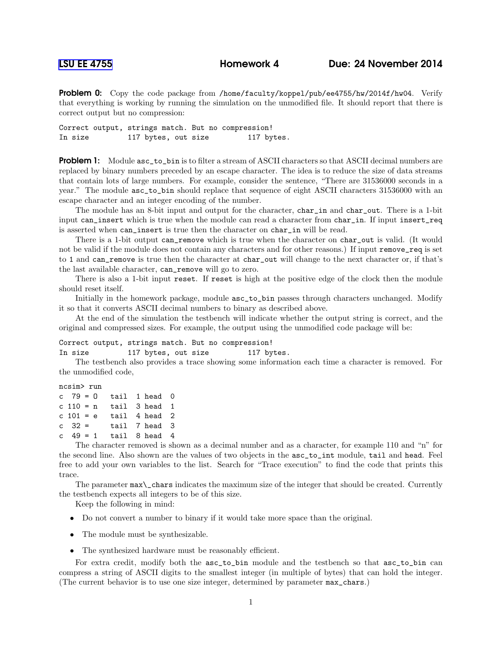Problem 0: Copy the code package from /home/faculty/koppel/pub/ee4755/hw/2014f/hw04. Verify that everything is working by running the simulation on the unmodified file. It should report that there is correct output but no compression:

Correct output, strings match. But no compression! In size 117 bytes, out size 117 bytes.

**Problem 1:** Module asc\_to\_bin is to filter a stream of ASCII characters so that ASCII decimal numbers are replaced by binary numbers preceded by an escape character. The idea is to reduce the size of data streams that contain lots of large numbers. For example, consider the sentence, "There are 31536000 seconds in a year." The module asc\_to\_bin should replace that sequence of eight ASCII characters 31536000 with an escape character and an integer encoding of the number.

The module has an 8-bit input and output for the character, char\_in and char\_out. There is a 1-bit input can\_insert which is true when the module can read a character from char\_in. If input insert\_req is asserted when can\_insert is true then the character on char\_in will be read.

There is a 1-bit output can\_remove which is true when the character on char\_out is valid. (It would not be valid if the module does not contain any characters and for other reasons.) If input remove\_req is set to 1 and can\_remove is true then the character at char\_out will change to the next character or, if that's the last available character, can\_remove will go to zero.

There is also a 1-bit input reset. If reset is high at the positive edge of the clock then the module should reset itself.

Initially in the homework package, module asc\_to\_bin passes through characters unchanged. Modify it so that it converts ASCII decimal numbers to binary as described above.

At the end of the simulation the testbench will indicate whether the output string is correct, and the original and compressed sizes. For example, the output using the unmodified code package will be:

## Correct output, strings match. But no compression!

```
In size 117 bytes, out size 117 bytes.
```
The testbench also provides a trace showing some information each time a character is removed. For the unmodified code,

```
ncsim> run
c 79 = 0 tail 1 head 0
c 110 = n tail 3 head 1
c 101 = e tail 4 head 2
c \quad 32 = tail 7 head 3
c 49 = 1 tail 8 head 4
```
The character removed is shown as a decimal number and as a character, for example 110 and "n" for the second line. Also shown are the values of two objects in the asc\_to\_int module, tail and head. Feel free to add your own variables to the list. Search for "Trace execution" to find the code that prints this trace.

The parameter max\\_chars indicates the maximum size of the integer that should be created. Currently the testbench expects all integers to be of this size.

Keep the following in mind:

- Do not convert a number to binary if it would take more space than the original.
- The module must be synthesizable.
- The synthesized hardware must be reasonably efficient.

For extra credit, modify both the  $asc_to$ <sub>phin</sub> module and the testbench so that  $asc_to$ <sub>phin</sub> can compress a string of ASCII digits to the smallest integer (in multiple of bytes) that can hold the integer. (The current behavior is to use one size integer, determined by parameter max\_chars.)